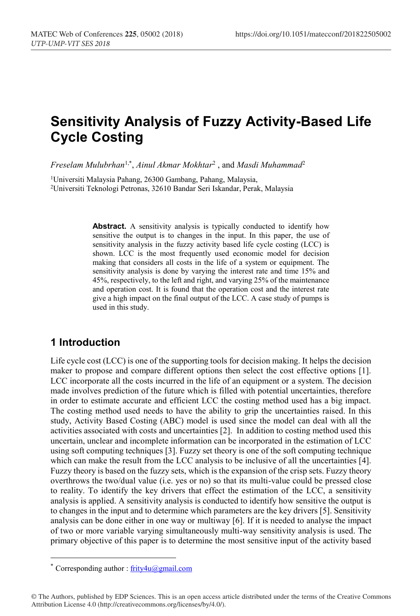# **Sensitivity Analysis of Fuzzy Activity-Based Life Cycle Costing**

*Freselam Mulubrhan*1,\* , *Ainul Akmar Mokhtar*<sup>2</sup> , and *Masdi Muhammad*<sup>2</sup>

1 Universiti Malaysia Pahang, 26300 Gambang, Pahang, Malaysia, 2Universiti Teknologi Petronas, 32610 Bandar Seri Iskandar, Perak, Malaysia

> Abstract. A sensitivity analysis is typically conducted to identify how sensitive the output is to changes in the input. In this paper, the use of sensitivity analysis in the fuzzy activity based life cycle costing (LCC) is shown. LCC is the most frequently used economic model for decision making that considers all costs in the life of a system or equipment. The sensitivity analysis is done by varying the interest rate and time 15% and 45%, respectively, to the left and right, and varying 25% of the maintenance and operation cost. It is found that the operation cost and the interest rate give a high impact on the final output of the LCC. A case study of pumps is used in this study.

# **1 Introduction**

Life cycle cost (LCC) is one of the supporting tools for decision making. It helps the decision maker to propose and compare different options then select the cost effective options [1]. LCC incorporate all the costs incurred in the life of an equipment or a system. The decision made involves prediction of the future which is filled with potential uncertainties, therefore in order to estimate accurate and efficient LCC the costing method used has a big impact. The costing method used needs to have the ability to grip the uncertainties raised. In this study, Activity Based Costing (ABC) model is used since the model can deal with all the activities associated with costs and uncertainties [2]. In addition to costing method used this uncertain, unclear and incomplete information can be incorporated in the estimation of LCC using soft computing techniques [3]. Fuzzy set theory is one of the soft computing technique which can make the result from the LCC analysis to be inclusive of all the uncertainties [4]. Fuzzy theory is based on the fuzzy sets, which is the expansion of the crisp sets. Fuzzy theory overthrows the two/dual value (i.e. yes or no) so that its multi-value could be pressed close to reality. To identify the key drivers that effect the estimation of the LCC, a sensitivity analysis is applied. A sensitivity analysis is conducted to identify how sensitive the output is to changes in the input and to determine which parameters are the key drivers [5]. Sensitivity analysis can be done either in one way or multiway [6]. If it is needed to analyse the impact of two or more variable varying simultaneously multi-way sensitivity analysis is used. The primary objective of this paper is to determine the most sensitive input of the activity based

<sup>\*</sup> Corresponding author :  $frity4u@gmail.com$ 

<sup>©</sup> The Authors, published by EDP Sciences. This is an open access article distributed under the terms of the Creative Commons Attribution License 4.0 (http://creativecommons.org/licenses/by/4.0/).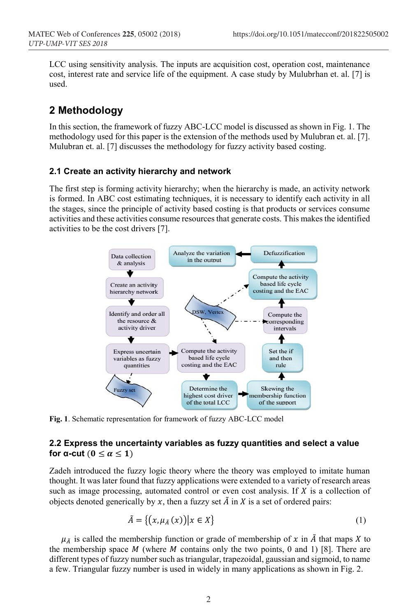LCC using sensitivity analysis. The inputs are acquisition cost, operation cost, maintenance cost, interest rate and service life of the equipment. A case study by Mulubrhan et. al. [7] is used.

## **2 Methodology**

In this section, the framework of fuzzy ABC-LCC model is discussed as shown in Fig. 1. The methodology used for this paper is the extension of the methods used by Mulubran et. al. [7]. Mulubran et. al. [7] discusses the methodology for fuzzy activity based costing.

### **2.1 Create an activity hierarchy and network**

The first step is forming activity hierarchy; when the hierarchy is made, an activity network is formed. In ABC cost estimating techniques, it is necessary to identify each activity in all the stages, since the principle of activity based costing is that products or services consume activities and these activities consume resources that generate costs. This makes the identified activities to be the cost drivers [7].



**Fig. 1**. Schematic representation for framework of fuzzy ABC-LCC model

### **2.2 Express the uncertainty variables as fuzzy quantities and select a value for**  $\alpha$ **-cut**  $(0 \le \alpha \le 1)$

Zadeh introduced the fuzzy logic theory where the theory was employed to imitate human thought. It was later found that fuzzy applications were extended to a variety of research areas such as image processing, automated control or even cost analysis. If  $X$  is a collection of objects denoted generically by x, then a fuzzy set  $\tilde{A}$  in X is a set of ordered pairs:

$$
\tilde{A} = \{ (x, \mu_{\tilde{A}}(x)) | x \in X \}
$$
 (1)

 $\mu_{\tilde{A}}$  is called the membership function or grade of membership of x in  $\tilde{A}$  that maps X to the membership space  $M$  (where  $M$  contains only the two points, 0 and 1) [8]. There are different types of fuzzy number such as triangular, trapezoidal, gaussian and sigmoid, to name a few. Triangular fuzzy number is used in widely in many applications as shown in Fig. 2.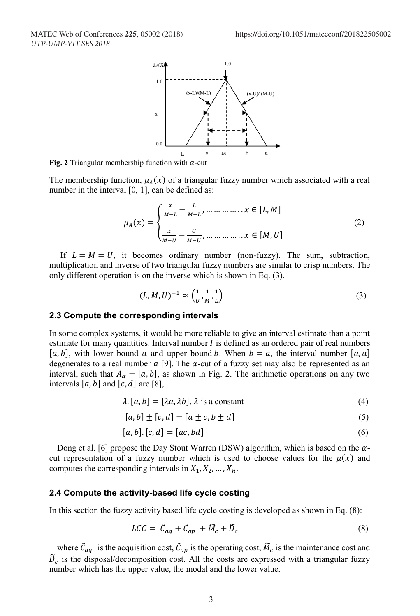

**Fig. 2** Triangular membership function with  $\alpha$ -cut

The membership function,  $\mu_A(x)$  of a triangular fuzzy number which associated with a real number in the interval [0, 1], can be defined as:

$$
\mu_A(x) = \begin{cases} \frac{x}{M-L} - \frac{L}{M-L}, \dots, \dots, x \in [L, M] \\ \frac{x}{M-U} - \frac{U}{M-U}, \dots, \dots, x \in [M, U] \end{cases}
$$
(2)

If  $L = M = U$ , it becomes ordinary number (non-fuzzy). The sum, subtraction, multiplication and inverse of two triangular fuzzy numbers are similar to crisp numbers. The only different operation is on the inverse which is shown in Eq. (3).

$$
(L, M, U)^{-1} \approx \left(\frac{1}{U}, \frac{1}{M}, \frac{1}{L}\right)
$$
 (3)

#### **2.3 Compute the corresponding intervals**

In some complex systems, it would be more reliable to give an interval estimate than a point estimate for many quantities. Interval number  $I$  is defined as an ordered pair of real numbers  $[a, b]$ , with lower bound a and upper bound b. When  $b = a$ , the interval number  $[a, a]$ degenerates to a real number  $\alpha$  [9]. The  $\alpha$ -cut of a fuzzy set may also be represented as an interval, such that  $A_{\alpha} = [a, b]$ , as shown in Fig. 2. The arithmetic operations on any two intervals [a, b] and [c, d] are [8],

$$
\lambda. [a, b] = [\lambda a, \lambda b], \lambda \text{ is a constant} \tag{4}
$$

$$
[a,b] \pm [c,d] = [a \pm c, b \pm d]
$$
\n<sup>(5)</sup>

$$
[a, b], [c, d] = [ac, bd]
$$
 (6)

Dong et al. [6] propose the Day Stout Warren (DSW) algorithm, which is based on the  $\alpha$ cut representation of a fuzzy number which is used to choose values for the  $\mu(x)$  and computes the corresponding intervals in  $X_1, X_2, \ldots, X_n$ .

#### **2.4 Compute the activity-based life cycle costing**

In this section the fuzzy activity based life cycle costing is developed as shown in Eq. (8):

$$
LCC = \tilde{C}_{aq} + \tilde{C}_{op} + \tilde{M}_c + \tilde{D}_c
$$
\n(8)

where  $\bar{C}_{aq}$  is the acquisition cost,  $\bar{C}_{op}$  is the operating cost,  $\bar{M}_c$  is the maintenance cost and  $\tilde{D}_c$  is the disposal/decomposition cost. All the costs are expressed with a triangular fuzzy number which has the upper value, the modal and the lower value.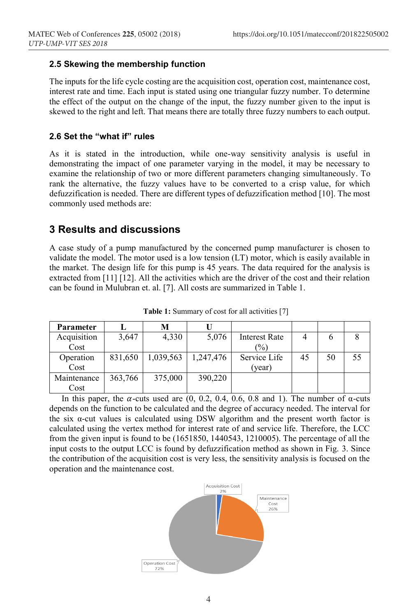### **2.5 Skewing the membership function**

The inputs for the life cycle costing are the acquisition cost, operation cost, maintenance cost, interest rate and time. Each input is stated using one triangular fuzzy number. To determine the effect of the output on the change of the input, the fuzzy number given to the input is skewed to the right and left. That means there are totally three fuzzy numbers to each output.

### **2.6 Set the "what if" rules**

As it is stated in the introduction, while one-way sensitivity analysis is useful in demonstrating the impact of one parameter varying in the model, it may be necessary to examine the relationship of two or more different parameters changing simultaneously. To rank the alternative, the fuzzy values have to be converted to a crisp value, for which defuzzification is needed. There are different types of defuzzification method [10]. The most commonly used methods are:

### **3 Results and discussions**

A case study of a pump manufactured by the concerned pump manufacturer is chosen to validate the model. The motor used is a low tension (LT) motor, which is easily available in the market. The design life for this pump is 45 years. The data required for the analysis is extracted from [11] [12]. All the activities which are the driver of the cost and their relation can be found in Mulubran et. al. [7]. All costs are summarized in Table 1.

| <b>Parameter</b> |         | М         |           |                      |    |    |    |
|------------------|---------|-----------|-----------|----------------------|----|----|----|
| Acquisition      | 3,647   | 4,330     | 5,076     | <b>Interest Rate</b> | 4  | b  |    |
| Cost             |         |           |           | $\frac{(0)}{0}$      |    |    |    |
| Operation        | 831,650 | 1,039,563 | 1,247,476 | Service Life         | 45 | 50 | 55 |
| Cost             |         |           |           | (vear)               |    |    |    |
| Maintenance      | 363,766 | 375,000   | 390,220   |                      |    |    |    |
| Cost             |         |           |           |                      |    |    |    |

**Table 1:** Summary of cost for all activities [7]

In this paper, the  $\alpha$ -cuts used are (0, 0.2, 0.4, 0.6, 0.8 and 1). The number of  $\alpha$ -cuts depends on the function to be calculated and the degree of accuracy needed. The interval for the six α-cut values is calculated using DSW algorithm and the present worth factor is calculated using the vertex method for interest rate of and service life. Therefore, the LCC from the given input is found to be (1651850, 1440543, 1210005). The percentage of all the input costs to the output LCC is found by defuzzification method as shown in Fig. 3. Since the contribution of the acquisition cost is very less, the sensitivity analysis is focused on the operation and the maintenance cost.

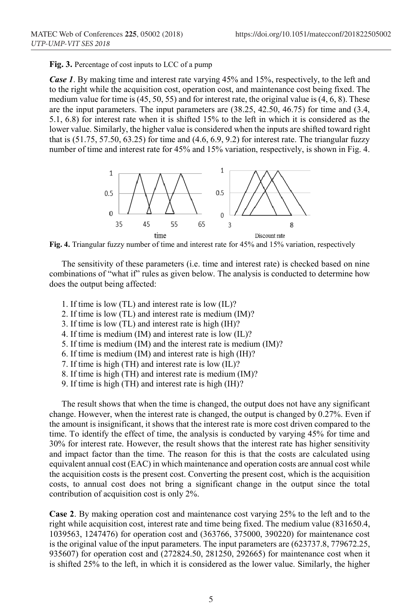**Fig. 3.** Percentage of cost inputs to LCC of a pump

*Case 1*. By making time and interest rate varying 45% and 15%, respectively, to the left and to the right while the acquisition cost, operation cost, and maintenance cost being fixed. The medium value for time is  $(45, 50, 55)$  and for interest rate, the original value is  $(4, 6, 8)$ . These are the input parameters. The input parameters are (38.25, 42.50, 46.75) for time and (3.4, 5.1, 6.8) for interest rate when it is shifted 15% to the left in which it is considered as the lower value. Similarly, the higher value is considered when the inputs are shifted toward right that is (51.75, 57.50, 63.25) for time and (4.6, 6.9, 9.2) for interest rate. The triangular fuzzy number of time and interest rate for 45% and 15% variation, respectively, is shown in Fig. 4.



**Fig. 4.** Triangular fuzzy number of time and interest rate for 45% and 15% variation, respectively

The sensitivity of these parameters (i.e. time and interest rate) is checked based on nine combinations of "what if" rules as given below. The analysis is conducted to determine how does the output being affected:

- 1. If time is low (TL) and interest rate is low (IL)?
- 2. If time is low (TL) and interest rate is medium (IM)?
- 3. If time is low (TL) and interest rate is high (IH)?
- 4. If time is medium (IM) and interest rate is low (IL)?
- 5. If time is medium (IM) and the interest rate is medium (IM)?
- 6. If time is medium (IM) and interest rate is high (IH)?
- 7. If time is high (TH) and interest rate is low (IL)?
- 8. If time is high (TH) and interest rate is medium (IM)?
- 9. If time is high (TH) and interest rate is high (IH)?

The result shows that when the time is changed, the output does not have any significant change. However, when the interest rate is changed, the output is changed by 0.27%. Even if the amount is insignificant, it shows that the interest rate is more cost driven compared to the time. To identify the effect of time, the analysis is conducted by varying 45% for time and 30% for interest rate. However, the result shows that the interest rate has higher sensitivity and impact factor than the time. The reason for this is that the costs are calculated using equivalent annual cost (EAC) in which maintenance and operation costs are annual cost while the acquisition costs is the present cost. Converting the present cost, which is the acquisition costs, to annual cost does not bring a significant change in the output since the total contribution of acquisition cost is only 2%.

**Case 2**. By making operation cost and maintenance cost varying 25% to the left and to the right while acquisition cost, interest rate and time being fixed. The medium value (831650.4, 1039563, 1247476) for operation cost and (363766, 375000, 390220) for maintenance cost is the original value of the input parameters. The input parameters are (623737.8, 779672.25, 935607) for operation cost and (272824.50, 281250, 292665) for maintenance cost when it is shifted 25% to the left, in which it is considered as the lower value. Similarly, the higher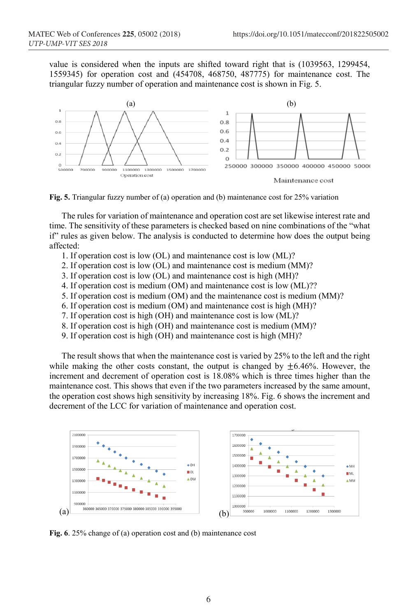value is considered when the inputs are shifted toward right that is (1039563, 1299454, 1559345) for operation cost and (454708, 468750, 487775) for maintenance cost. The triangular fuzzy number of operation and maintenance cost is shown in Fig. 5.



**Fig. 5.** Triangular fuzzy number of (a) operation and (b) maintenance cost for 25% variation

The rules for variation of maintenance and operation cost are set likewise interest rate and time. The sensitivity of these parameters is checked based on nine combinations of the "what if" rules as given below. The analysis is conducted to determine how does the output being affected:

- 1. If operation cost is low (OL) and maintenance cost is low (ML)?
- 2. If operation cost is low (OL) and maintenance cost is medium (MM)?
- 3. If operation cost is low (OL) and maintenance cost is high (MH)?
- 4. If operation cost is medium (OM) and maintenance cost is low (ML)??
- 5. If operation cost is medium (OM) and the maintenance cost is medium (MM)?
- 6. If operation cost is medium (OM) and maintenance cost is high (MH)?
- 7. If operation cost is high (OH) and maintenance cost is low (ML)?
- 8. If operation cost is high (OH) and maintenance cost is medium (MM)?
- 9. If operation cost is high (OH) and maintenance cost is high (MH)?

The result shows that when the maintenance cost is varied by 25% to the left and the right while making the other costs constant, the output is changed by  $\pm 6.46\%$ . However, the increment and decrement of operation cost is 18.08% which is three times higher than the maintenance cost. This shows that even if the two parameters increased by the same amount, the operation cost shows high sensitivity by increasing 18%. Fig. 6 shows the increment and decrement of the LCC for variation of maintenance and operation cost.



**Fig. 6**. 25% change of (a) operation cost and (b) maintenance cost